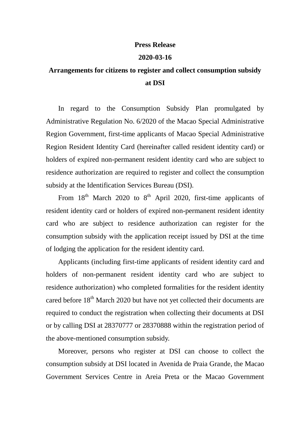## **Press Release**

## **2020-03-16**

## **Arrangements for citizens to register and collect consumption subsidy at DSI**

In regard to the Consumption Subsidy Plan promulgated by Administrative Regulation No. 6/2020 of the Macao Special Administrative Region Government, first-time applicants of Macao Special Administrative Region Resident Identity Card (hereinafter called resident identity card) or holders of expired non-permanent resident identity card who are subject to residence authorization are required to register and collect the consumption subsidy at the Identification Services Bureau (DSI).

From  $18<sup>th</sup>$  March 2020 to  $8<sup>th</sup>$  April 2020, first-time applicants of resident identity card or holders of expired non-permanent resident identity card who are subject to residence authorization can register for the consumption subsidy with the application receipt issued by DSI at the time of lodging the application for the resident identity card.

Applicants (including first-time applicants of resident identity card and holders of non-permanent resident identity card who are subject to residence authorization) who completed formalities for the resident identity cared before  $18<sup>th</sup>$  March 2020 but have not yet collected their documents are required to conduct the registration when collecting their documents at DSI or by calling DSI at 28370777 or 28370888 within the registration period of the above-mentioned consumption subsidy.

Moreover, persons who register at DSI can choose to collect the consumption subsidy at DSI located in Avenida de Praia Grande, the Macao Government Services Centre in Areia Preta or the Macao Government